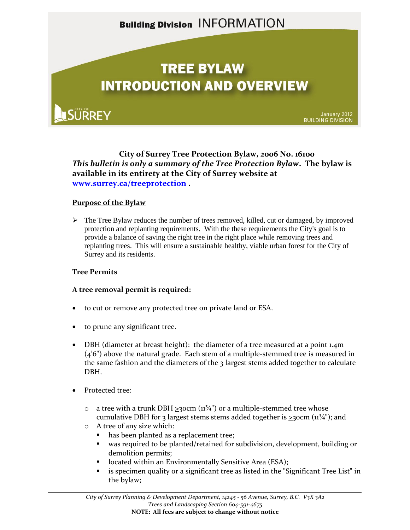## **Building Division INFORMATION**

# **TREE BYLAW INTRODUCTION AND OVERVIEW**

**SÜRREY** 

January 2012<br>BUILDING DIVISION

**City of Surrey Tree Protection Bylaw, 2006 No. 16100** *This bulletin is only a summary of the Tree Protection Bylaw***. The bylaw is available in its entirety at the City of Surrey website at [www.surrey.ca/treeprotection](http://www.surrey.ca/treeprotection) .**

### **Purpose of the Bylaw**

 $\triangleright$  The Tree Bylaw reduces the number of trees removed, killed, cut or damaged, by improved protection and replanting requirements. With the these requirements the City's goal is to provide a balance of saving the right tree in the right place while removing trees and replanting trees. This will ensure a sustainable healthy, viable urban forest for the City of Surrey and its residents.

### **Tree Permits**

### **A tree removal permit is required:**

- to cut or remove any protected tree on private land or ESA.
- to prune any significant tree.
- DBH (diameter at breast height): the diameter of a tree measured at a point 1.4m  $(4'6'')$  above the natural grade. Each stem of a multiple-stemmed tree is measured in the same fashion and the diameters of the  $\frac{1}{2}$  largest stems added together to calculate DBH.
- Protected tree:
	- $\circ$  a tree with a trunk DBH  $\geq$ 30cm ( $11\frac{3}{4}$ ) or a multiple-stemmed tree whose cumulative DBH for 3 largest stems stems added together is  $>$ 30cm ( $11\frac{3}{4}$ "); and
	- o A tree of any size which:
		- has been planted as a replacement tree;
		- was required to be planted/retained for subdivision, development, building or demolition permits;
		- located within an Environmentally Sensitive Area (ESA);
		- **Example 1** is specimen quality or a significant tree as listed in the "Significant Tree List" in the bylaw;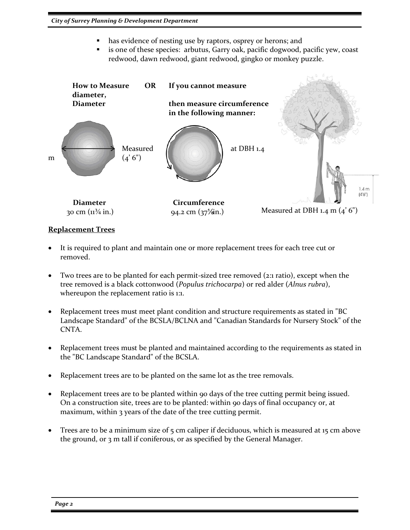- has evidence of nesting use by raptors, osprey or herons; and
- is one of these species: arbutus, Garry oak, pacific dogwood, pacific yew, coast redwood, dawn redwood, giant redwood, gingko or monkey puzzle.



### **Replacement Trees**

- It is required to plant and maintain one or more replacement trees for each tree cut or removed.
- Two trees are to be planted for each permit-sized tree removed (2:1 ratio), except when the tree removed is a black cottonwood (*Populus trichocarpa*) or red alder (*Alnus rubra*), whereupon the replacement ratio is 1:1.
- Replacement trees must meet plant condition and structure requirements as stated in "BC Landscape Standard" of the BCSLA/BCLNA and "Canadian Standards for Nursery Stock" of the CNTA.
- Replacement trees must be planted and maintained according to the requirements as stated in the "BC Landscape Standard" of the BCSLA.
- Replacement trees are to be planted on the same lot as the tree removals.
- Replacement trees are to be planted within 90 days of the tree cutting permit being issued. On a construction site, trees are to be planted: within 90 days of final occupancy or, at maximum, within 3 years of the date of the tree cutting permit.
- Trees are to be a minimum size of 5 cm caliper if deciduous, which is measured at 15 cm above the ground, or 3 m tall if coniferous, or as specified by the General Manager.